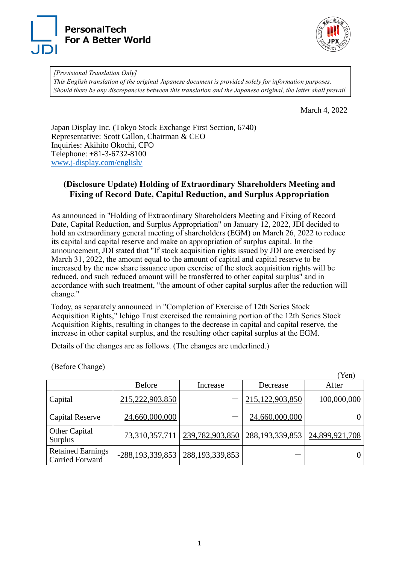



*[Provisional Translation Only] This English translation of the original Japanese document is provided solely for information purposes. Should there be any discrepancies between this translation and the Japanese original, the latter shall prevail.*

March 4, 2022

 $(V_{\alpha n})$ 

Japan Display Inc. (Tokyo Stock Exchange First Section, 6740) Representative: Scott Callon, Chairman & CEO Inquiries: Akihito Okochi, CFO Telephone: +81-3-6732-8100 [www.j-display.com/english/](http://www.j-display.com/english/)

## **(Disclosure Update) Holding of Extraordinary Shareholders Meeting and Fixing of Record Date, Capital Reduction, and Surplus Appropriation**

As announced in "Holding of Extraordinary Shareholders Meeting and Fixing of Record Date, Capital Reduction, and Surplus Appropriation" on January 12, 2022, JDI decided to hold an extraordinary general meeting of shareholders (EGM) on March 26, 2022 to reduce its capital and capital reserve and make an appropriation of surplus capital. In the announcement, JDI stated that "If stock acquisition rights issued by JDI are exercised by March 31, 2022, the amount equal to the amount of capital and capital reserve to be increased by the new share issuance upon exercise of the stock acquisition rights will be reduced, and such reduced amount will be transferred to other capital surplus" and in accordance with such treatment, "the amount of other capital surplus after the reduction will change."

Today, as separately announced in "Completion of Exercise of 12th Series Stock Acquisition Rights," Ichigo Trust exercised the remaining portion of the 12th Series Stock Acquisition Rights, resulting in changes to the decrease in capital and capital reserve, the increase in other capital surplus, and the resulting other capital surplus at the EGM.

Details of the changes are as follows. (The changes are underlined.)

|                                                    |                       |                    |                    | T CITI         |
|----------------------------------------------------|-----------------------|--------------------|--------------------|----------------|
|                                                    | <b>Before</b>         | Increase           | Decrease           | After          |
| Capital                                            | 215,222,903,850       |                    | 215,122,903,850    | 100,000,000    |
| <b>Capital Reserve</b>                             | 24,660,000,000        |                    | 24,660,000,000     | 0              |
| Other Capital<br>Surplus                           | 73,310,357,711        | 239,782,903,850    | 288, 193, 339, 853 | 24,899,921,708 |
| <b>Retained Earnings</b><br><b>Carried Forward</b> | $-288, 193, 339, 853$ | 288, 193, 339, 853 |                    | $\overline{0}$ |

(Before Change)